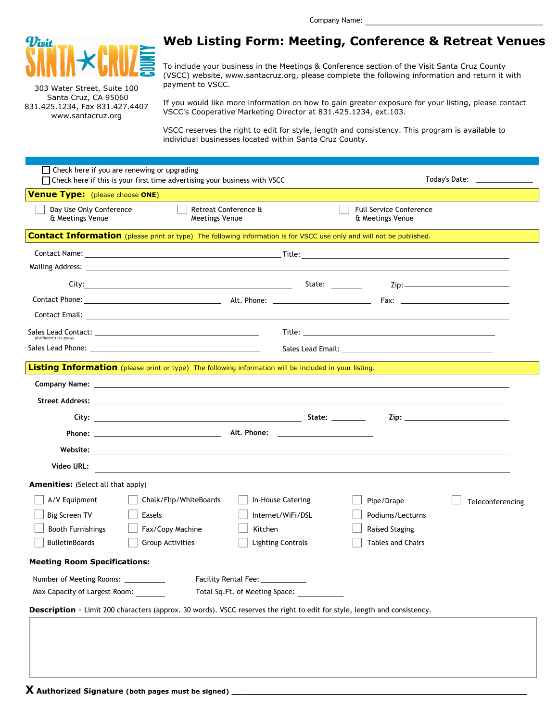

303 Water Street, Suite 100 Santa Cruz, CA 95060 831.425.1234, Fax 831.427.4407 www.santacruz.org

## **Web Listing Form: Meeting, Conference & Retreat Venues**

To include your business in the Meetings & Conference section of the Visit Santa Cruz County (VSCC) website, www.santacruz.org, please complete the following information and return it with payment to VSCC.

If you would like more information on how to gain greater exposure for your listing, please contact VSCC's Cooperative Marketing Director at 831.425.1234, ext.103.

VSCC reserves the right to edit for style, length and consistency. This program is available to individual businesses located within Santa Cruz County.

|                                                                                                                           | $\Box$ Check here if you are renewing or upgrading<br>Today's Date: _______________<br>$\Box$ Check here if this is your first time advertising your business with VSCC                                                        |                                              |                                                    |                                                                |  |  |
|---------------------------------------------------------------------------------------------------------------------------|--------------------------------------------------------------------------------------------------------------------------------------------------------------------------------------------------------------------------------|----------------------------------------------|----------------------------------------------------|----------------------------------------------------------------|--|--|
| <b>Venue Type:</b> (please choose ONE)                                                                                    |                                                                                                                                                                                                                                |                                              |                                                    |                                                                |  |  |
| Day Use Only Conference<br>& Meetings Venue                                                                               | <b>Meetings Venue</b>                                                                                                                                                                                                          | Retreat Conference &                         | <b>Full Service Conference</b><br>& Meetings Venue |                                                                |  |  |
|                                                                                                                           | <b>Contact Information</b> (please print or type) The following information is for VSCC use only and will not be published.                                                                                                    |                                              |                                                    |                                                                |  |  |
|                                                                                                                           |                                                                                                                                                                                                                                |                                              |                                                    |                                                                |  |  |
|                                                                                                                           |                                                                                                                                                                                                                                |                                              |                                                    |                                                                |  |  |
|                                                                                                                           |                                                                                                                                                                                                                                |                                              |                                                    | $\mathsf{Zip:}\n \overbrace{\phantom{ \mathsf{def}}\nolimits}$ |  |  |
|                                                                                                                           |                                                                                                                                                                                                                                |                                              |                                                    |                                                                |  |  |
|                                                                                                                           |                                                                                                                                                                                                                                |                                              |                                                    |                                                                |  |  |
| (If different than above)                                                                                                 | Sales Lead Contact: with a state of the state of the state of the state of the state of the state of the state of the state of the state of the state of the state of the state of the state of the state of the state of the  |                                              |                                                    |                                                                |  |  |
|                                                                                                                           |                                                                                                                                                                                                                                |                                              |                                                    |                                                                |  |  |
|                                                                                                                           | Listing Information (please print or type) The following information will be included in your listing.                                                                                                                         |                                              |                                                    |                                                                |  |  |
|                                                                                                                           | Company Name: Law Company Name: Law Company Name: Law Company Name: Law Company Name: Law Company Name: Law Company Name: Law Company Name: Law Company Name: Law Company Name: Law Company Name: Law Company Name: Law Compan |                                              |                                                    |                                                                |  |  |
|                                                                                                                           |                                                                                                                                                                                                                                |                                              |                                                    |                                                                |  |  |
|                                                                                                                           |                                                                                                                                                                                                                                |                                              |                                                    | <u>Zip: __________________________________</u>                 |  |  |
|                                                                                                                           |                                                                                                                                                                                                                                |                                              |                                                    |                                                                |  |  |
|                                                                                                                           |                                                                                                                                                                                                                                |                                              |                                                    |                                                                |  |  |
| Video URL:                                                                                                                |                                                                                                                                                                                                                                |                                              |                                                    |                                                                |  |  |
|                                                                                                                           | <u> 1989 - John Stein, Amerikaansk politiker (</u>                                                                                                                                                                             |                                              |                                                    |                                                                |  |  |
| <b>Amenities:</b> (Select all that apply)<br>A/V Equipment                                                                | Chalk/Flip/WhiteBoards                                                                                                                                                                                                         | In-House Catering                            | Pipe/Drape                                         |                                                                |  |  |
| <b>Big Screen TV</b>                                                                                                      | Easels                                                                                                                                                                                                                         | Internet/WiFi/DSL                            | Podiums/Lecturns                                   | Teleconferencing                                               |  |  |
| <b>Booth Furnishings</b>                                                                                                  | Fax/Copy Machine                                                                                                                                                                                                               | Kitchen                                      | <b>Raised Staging</b>                              |                                                                |  |  |
| <b>BulletinBoards</b>                                                                                                     | Group Activities                                                                                                                                                                                                               | <b>Lighting Controls</b>                     | <b>Tables and Chairs</b>                           |                                                                |  |  |
| <b>Meeting Room Specifications:</b>                                                                                       |                                                                                                                                                                                                                                |                                              |                                                    |                                                                |  |  |
| Number of Meeting Rooms: __________                                                                                       |                                                                                                                                                                                                                                | Facility Rental Fee: ____________            |                                                    |                                                                |  |  |
| Max Capacity of Largest Room:                                                                                             |                                                                                                                                                                                                                                | Total Sq.Ft. of Meeting Space: _____________ |                                                    |                                                                |  |  |
| Description - Limit 200 characters (approx. 30 words). VSCC reserves the right to edit for style, length and consistency. |                                                                                                                                                                                                                                |                                              |                                                    |                                                                |  |  |
|                                                                                                                           |                                                                                                                                                                                                                                |                                              |                                                    |                                                                |  |  |
|                                                                                                                           |                                                                                                                                                                                                                                |                                              |                                                    |                                                                |  |  |
|                                                                                                                           |                                                                                                                                                                                                                                |                                              |                                                    |                                                                |  |  |
|                                                                                                                           |                                                                                                                                                                                                                                |                                              |                                                    |                                                                |  |  |
|                                                                                                                           |                                                                                                                                                                                                                                |                                              |                                                    |                                                                |  |  |